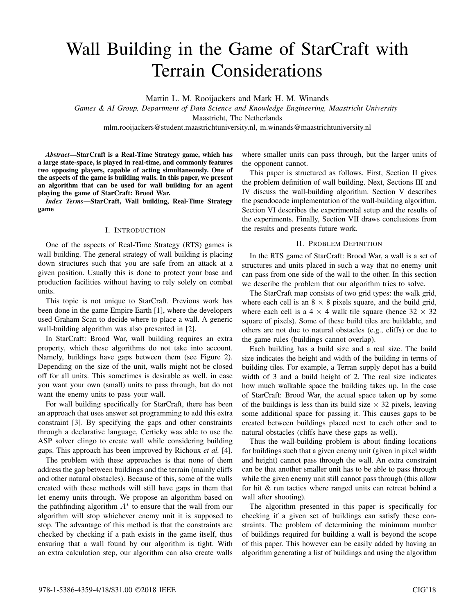# Wall Building in the Game of StarCraft with Terrain Considerations

Martin L. M. Rooijackers and Mark H. M. Winands

*Games & AI Group, Department of Data Science and Knowledge Engineering, Maastricht University* Maastricht, The Netherlands

mlm.rooijackers@student.maastrichtuniversity.nl, m.winands@maastrichtuniversity.nl

*Abstract*—StarCraft is a Real-Time Strategy game, which has a large state-space, is played in real-time, and commonly features two opposing players, capable of acting simultaneously. One of the aspects of the game is building walls. In this paper, we present an algorithm that can be used for wall building for an agent playing the game of StarCraft: Brood War.

*Index Terms*—StarCraft, Wall building, Real-Time Strategy game

# I. INTRODUCTION

One of the aspects of Real-Time Strategy (RTS) games is wall building. The general strategy of wall building is placing down structures such that you are safe from an attack at a given position. Usually this is done to protect your base and production facilities without having to rely solely on combat units.

This topic is not unique to StarCraft. Previous work has been done in the game Empire Earth [1], where the developers used Graham Scan to decide where to place a wall. A generic wall-building algorithm was also presented in [2].

In StarCraft: Brood War, wall building requires an extra property, which these algorithms do not take into account. Namely, buildings have gaps between them (see Figure 2). Depending on the size of the unit, walls might not be closed off for all units. This sometimes is desirable as well, in case you want your own (small) units to pass through, but do not want the enemy units to pass your wall.

For wall building specifically for StarCraft, there has been an approach that uses answer set programming to add this extra constraint [3]. By specifying the gaps and other constraints through a declarative language, Certicky was able to use the ASP solver clingo to create wall while considering building gaps. This approach has been improved by Richoux *et al.* [4].

The problem with these approaches is that none of them address the gap between buildings and the terrain (mainly cliffs and other natural obstacles). Because of this, some of the walls created with these methods will still have gaps in them that let enemy units through. We propose an algorithm based on the pathfinding algorithm  $A^*$  to ensure that the wall from our algorithm will stop whichever enemy unit it is supposed to stop. The advantage of this method is that the constraints are checked by checking if a path exists in the game itself, thus ensuring that a wall found by our algorithm is tight. With an extra calculation step, our algorithm can also create walls

where smaller units can pass through, but the larger units of the opponent cannot.

This paper is structured as follows. First, Section II gives the problem definition of wall building. Next, Sections III and IV discuss the wall-building algorithm. Section V describes the pseudocode implementation of the wall-building algorithm. Section VI describes the experimental setup and the results of the experiments. Finally, Section VII draws conclusions from the results and presents future work.

### II. PROBLEM DEFINITION

In the RTS game of StarCraft: Brood War, a wall is a set of structures and units placed in such a way that no enemy unit can pass from one side of the wall to the other. In this section we describe the problem that our algorithm tries to solve.

The StarCraft map consists of two grid types: the walk grid, where each cell is an  $8 \times 8$  pixels square, and the build grid, where each cell is a  $4 \times 4$  walk tile square (hence  $32 \times 32$ ) square of pixels). Some of these build tiles are buildable, and others are not due to natural obstacles (e.g., cliffs) or due to the game rules (buildings cannot overlap).

Each building has a build size and a real size. The build size indicates the height and width of the building in terms of building tiles. For example, a Terran supply depot has a build width of 3 and a build height of 2. The real size indicates how much walkable space the building takes up. In the case of StarCraft: Brood War, the actual space taken up by some of the buildings is less than its build size  $\times$  32 pixels, leaving some additional space for passing it. This causes gaps to be created between buildings placed next to each other and to natural obstacles (cliffs have these gaps as well).

Thus the wall-building problem is about finding locations for buildings such that a given enemy unit (given in pixel width and height) cannot pass through the wall. An extra constraint can be that another smaller unit has to be able to pass through while the given enemy unit still cannot pass through (this allow for hit & run tactics where ranged units can retreat behind a wall after shooting).

The algorithm presented in this paper is specifically for checking if a given set of buildings can satisfy these constraints. The problem of determining the minimum number of buildings required for building a wall is beyond the scope of this paper. This however can be easily added by having an algorithm generating a list of buildings and using the algorithm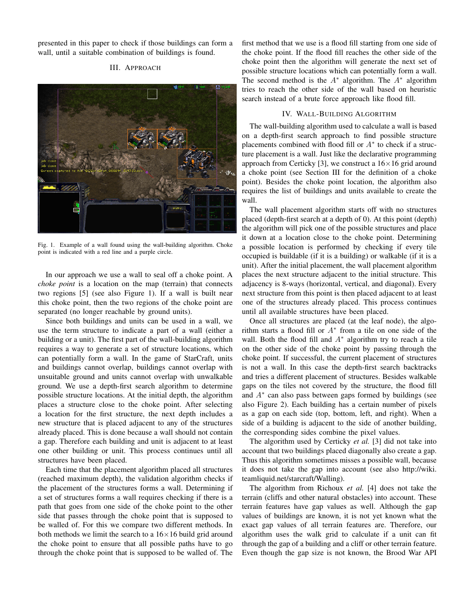presented in this paper to check if those buildings can form a wall, until a suitable combination of buildings is found.

#### III. APPROACH



Fig. 1. Example of a wall found using the wall-building algorithm. Choke point is indicated with a red line and a purple circle.

In our approach we use a wall to seal off a choke point. A *choke point* is a location on the map (terrain) that connects two regions [5] (see also Figure 1). If a wall is built near this choke point, then the two regions of the choke point are separated (no longer reachable by ground units).

Since both buildings and units can be used in a wall, we use the term structure to indicate a part of a wall (either a building or a unit). The first part of the wall-building algorithm requires a way to generate a set of structure locations, which can potentially form a wall. In the game of StarCraft, units and buildings cannot overlap, buildings cannot overlap with unsuitable ground and units cannot overlap with unwalkable ground. We use a depth-first search algorithm to determine possible structure locations. At the initial depth, the algorithm places a structure close to the choke point. After selecting a location for the first structure, the next depth includes a new structure that is placed adjacent to any of the structures already placed. This is done because a wall should not contain a gap. Therefore each building and unit is adjacent to at least one other building or unit. This process continues until all structures have been placed.

Each time that the placement algorithm placed all structures (reached maximum depth), the validation algorithm checks if the placement of the structures forms a wall. Determining if a set of structures forms a wall requires checking if there is a path that goes from one side of the choke point to the other side that passes through the choke point that is supposed to be walled of. For this we compare two different methods. In both methods we limit the search to a  $16\times16$  build grid around the choke point to ensure that all possible paths have to go through the choke point that is supposed to be walled of. The first method that we use is a flood fill starting from one side of the choke point. If the flood fill reaches the other side of the choke point then the algorithm will generate the next set of possible structure locations which can potentially form a wall. The second method is the  $A^*$  algorithm. The  $A^*$  algorithm tries to reach the other side of the wall based on heuristic search instead of a brute force approach like flood fill.

#### IV. WALL-BUILDING ALGORITHM

The wall-building algorithm used to calculate a wall is based on a depth-first search approach to find possible structure placements combined with flood fill or  $A^*$  to check if a structure placement is a wall. Just like the declarative programming approach from Certicky [3], we construct a  $16\times16$  grid around a choke point (see Section III for the definition of a choke point). Besides the choke point location, the algorithm also requires the list of buildings and units available to create the wall.

The wall placement algorithm starts off with no structures placed (depth-first search at a depth of 0). At this point (depth) the algorithm will pick one of the possible structures and place it down at a location close to the choke point. Determining a possible location is performed by checking if every tile occupied is buildable (if it is a building) or walkable (if it is a unit). After the initial placement, the wall placement algorithm places the next structure adjacent to the initial structure. This adjacency is 8-ways (horizontal, vertical, and diagonal). Every next structure from this point is then placed adjacent to at least one of the structures already placed. This process continues until all available structures have been placed.

Once all structures are placed (at the leaf node), the algorithm starts a flood fill or  $A^*$  from a tile on one side of the wall. Both the flood fill and  $A^*$  algorithm try to reach a tile on the other side of the choke point by passing through the choke point. If successful, the current placement of structures is not a wall. In this case the depth-first search backtracks and tries a different placement of structures. Besides walkable gaps on the tiles not covered by the structure, the flood fill and  $A^*$  can also pass between gaps formed by buildings (see also Figure 2). Each building has a certain number of pixels as a gap on each side (top, bottom, left, and right). When a side of a building is adjacent to the side of another building, the corresponding sides combine the pixel values.

The algorithm used by Certicky *et al.* [3] did not take into account that two buildings placed diagonally also create a gap. Thus this algorithm sometimes misses a possible wall, because it does not take the gap into account (see also http://wiki. teamliquid.net/starcraft/Walling).

The algorithm from Richoux *et al.* [4] does not take the terrain (cliffs and other natural obstacles) into account. These terrain features have gap values as well. Although the gap values of buildings are known, it is not yet known what the exact gap values of all terrain features are. Therefore, our algorithm uses the walk grid to calculate if a unit can fit through the gap of a building and a cliff or other terrain feature. Even though the gap size is not known, the Brood War API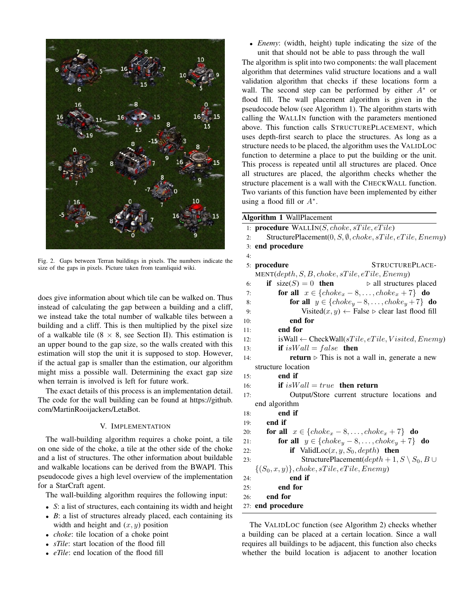

Fig. 2. Gaps between Terran buildings in pixels. The numbers indicate the size of the gaps in pixels. Picture taken from teamliquid wiki.

does give information about which tile can be walked on. Thus instead of calculating the gap between a building and a cliff, we instead take the total number of walkable tiles between a building and a cliff. This is then multiplied by the pixel size of a walkable tile ( $8 \times 8$ , see Section II). This estimation is an upper bound to the gap size, so the walls created with this estimation will stop the unit it is supposed to stop. However, if the actual gap is smaller than the estimation, our algorithm might miss a possible wall. Determining the exact gap size when terrain is involved is left for future work.

The exact details of this process is an implementation detail. The code for the wall building can be found at https://github. com/MartinRooijackers/LetaBot.

## V. IMPLEMENTATION

The wall-building algorithm requires a choke point, a tile on one side of the choke, a tile at the other side of the choke and a list of structures. The other information about buildable and walkable locations can be derived from the BWAPI. This pseudocode gives a high level overview of the implementation for a StarCraft agent.

The wall-building algorithm requires the following input:

- *S*: a list of structures, each containing its width and height
- *B*: a list of structures already placed, each containing its width and height and  $(x, y)$  position
- *choke*: tile location of a choke point
- *sTile*: start location of the flood fill
- *eTile*: end location of the flood fill

• *Enemy*: (width, height) tuple indicating the size of the unit that should not be able to pass through the wall

The algorithm is split into two components: the wall placement algorithm that determines valid structure locations and a wall validation algorithm that checks if these locations form a wall. The second step can be performed by either  $A^*$  or flood fill. The wall placement algorithm is given in the pseudocode below (see Algorithm 1). The algorithm starts with calling the WALLIN function with the parameters mentioned above. This function calls STRUCTUREPLACEMENT, which uses depth-first search to place the structures. As long as a structure needs to be placed, the algorithm uses the VALIDLOC function to determine a place to put the building or the unit. This process is repeated until all structures are placed. Once all structures are placed, the algorithm checks whether the structure placement is a wall with the CHECKWALL function. Two variants of this function have been implemented by either using a flood fill or  $A^*$ .

Algorithm 1 WallPlacement

|     | 1: <b>procedure</b> $\text{WALLIN}(S, chose, sTile, eTile)$              |  |  |  |  |
|-----|--------------------------------------------------------------------------|--|--|--|--|
| 2:  | StructurePlacement $(0, S, \emptyset, choice, sTile, eTile, Enemy)$      |  |  |  |  |
| 3:  | end procedure                                                            |  |  |  |  |
| 4:  |                                                                          |  |  |  |  |
|     | 5: procedure<br>STRUCTUREPLACE-                                          |  |  |  |  |
|     | $MENT(depth, S, B, choke, sTile, eTile, Enemy)$                          |  |  |  |  |
| 6:  | if $size(S) = 0$ then<br>$\rhd$ all structures placed                    |  |  |  |  |
| 7:  | for all $x \in \{choke_x - 8, \ldots, choke_x + 7\}$ do                  |  |  |  |  |
| 8:  | for all $y \in \{choke_y - 8, \ldots, choke_y + 7\}$ do                  |  |  |  |  |
| 9:  | Visited $(x, y) \leftarrow$ False $\triangleright$ clear last flood fill |  |  |  |  |
| 10: | end for                                                                  |  |  |  |  |
| 11: | end for                                                                  |  |  |  |  |
| 12: | is Wall $\leftarrow$ CheckWall(sTile, eTile, Visited, Enemy)             |  |  |  |  |
| 13: | if is $Wall = false$ then                                                |  |  |  |  |
| 14: | <b>return</b> $\triangleright$ This is not a wall in, generate a new     |  |  |  |  |
|     | structure location                                                       |  |  |  |  |
| 15: | end if                                                                   |  |  |  |  |
| 16: | if is $Wall = true$ then return                                          |  |  |  |  |
| 17: | Output/Store current structure locations and                             |  |  |  |  |
|     | end algorithm                                                            |  |  |  |  |
| 18: | end if                                                                   |  |  |  |  |
| 19: | end if                                                                   |  |  |  |  |
| 20: | for all $x \in \{choke_x - 8, \ldots, choke_x + 7\}$ do                  |  |  |  |  |
| 21: | for all $y \in \{choke_y - 8, \ldots, choke_y + 7\}$ do                  |  |  |  |  |
| 22: | <b>if</b> ValidLoc $(x, y, S_0, depth)$ then                             |  |  |  |  |
| 23: | StructurePlacement( $depth + 1, S \setminus S_0, B \cup$                 |  |  |  |  |
|     | $\{(S_0, x, y)\}, choke, sTile, eTile, Enemy)$                           |  |  |  |  |
| 24: | end if                                                                   |  |  |  |  |
| 25: | end for                                                                  |  |  |  |  |
| 26: | end for                                                                  |  |  |  |  |
|     | 27: end procedure                                                        |  |  |  |  |

The VALIDLOC function (see Algorithm 2) checks whether a building can be placed at a certain location. Since a wall requires all buildings to be adjacent, this function also checks whether the build location is adjacent to another location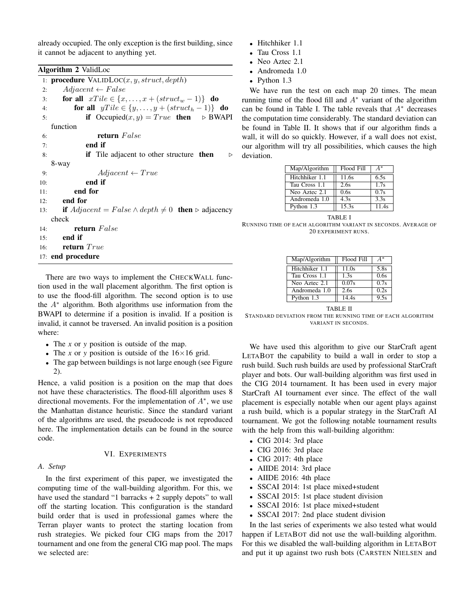already occupied. The only exception is the first building, since it cannot be adjacent to anything yet.

|     | Algorithm 2 ValidLoc                                                      |  |  |  |  |
|-----|---------------------------------------------------------------------------|--|--|--|--|
|     | 1: <b>procedure</b> $\text{VALIDLOC}(x, y, struct, depth)$                |  |  |  |  |
| 2:  | $Adjacent \leftarrow False$                                               |  |  |  |  |
|     | for all $xTile \in \{x, \ldots, x + (struct_w - 1)\}$ do<br>3:            |  |  |  |  |
|     | for all $yTile \in \{y, \ldots, y + (struct_h - 1)\}\)$ do<br>4:          |  |  |  |  |
| 5:  | if Occupied $(x, y) = True$ then $\triangleright$ BWAPI                   |  |  |  |  |
|     | function                                                                  |  |  |  |  |
| 6:  | return False                                                              |  |  |  |  |
| 7:  | end if                                                                    |  |  |  |  |
| 8:  | if Tile adjacent to other structure then<br>▷                             |  |  |  |  |
|     | 8-way                                                                     |  |  |  |  |
| 9:  | $Adjacent \leftarrow True$                                                |  |  |  |  |
| 10: | end if                                                                    |  |  |  |  |
| 11: | end for                                                                   |  |  |  |  |
| 12: | end for                                                                   |  |  |  |  |
| 13: | if $Adjacent = False \wedge depth \neq 0$ then $\triangleright$ adjacency |  |  |  |  |
|     | check                                                                     |  |  |  |  |
| 14: | return False                                                              |  |  |  |  |
|     | end if<br>15:                                                             |  |  |  |  |
|     | 16: return True                                                           |  |  |  |  |
|     | 17: end procedure                                                         |  |  |  |  |

There are two ways to implement the CHECKWALL function used in the wall placement algorithm. The first option is to use the flood-fill algorithm. The second option is to use the  $A^*$  algorithm. Both algorithms use information from the BWAPI to determine if a position is invalid. If a position is invalid, it cannot be traversed. An invalid position is a position where:

- The *x* or *y* position is outside of the map.
- The *x* or *y* position is outside of the  $16 \times 16$  grid.
- The gap between buildings is not large enough (see Figure 2).

Hence, a valid position is a position on the map that does not have these characteristics. The flood-fill algorithm uses 8 directional movements. For the implementation of  $A^*$ , we use the Manhattan distance heuristic. Since the standard variant of the algorithms are used, the pseudocode is not reproduced here. The implementation details can be found in the source code.

#### VI. EXPERIMENTS

# *A. Setup*

In the first experiment of this paper, we investigated the computing time of the wall-building algorithm. For this, we have used the standard "1 barracks  $+ 2$  supply depots" to wall off the starting location. This configuration is the standard build order that is used in professional games where the Terran player wants to protect the starting location from rush strategies. We picked four CIG maps from the 2017 tournament and one from the general CIG map pool. The maps we selected are:

- Hitchhiker 1.1
- Tau Cross 1.1
- Neo Aztec 2.1
- Andromeda 1.0
- Python 1.3

We have run the test on each map 20 times. The mean running time of the flood fill and  $A^*$  variant of the algorithm can be found in Table I. The table reveals that  $A^*$  decreases the computation time considerably. The standard deviation can be found in Table II. It shows that if our algorithm finds a wall, it will do so quickly. However, if a wall does not exist, our algorithm will try all possibilities, which causes the high deviation.

| Map/Algorithm  | Flood Fill         | A*    |
|----------------|--------------------|-------|
| Hitchhiker 1.1 | 11.6s              | 6.5s  |
| Tau Cross 1.1  | 2.6s               | 1.7s  |
| Neo Aztec 2.1  | 0.6s               | 0.7s  |
| Andromeda 1.0  | 4.3s               | 3.3s  |
| Python 1.3     | $\overline{15.3s}$ | 11.4s |

TABLE I RUNNING TIME OF EACH ALGORITHM VARIANT IN SECONDS. AVERAGE OF 20 EXPERIMENT RUNS.

| Map/Algorithm  | Flood Fill |      |
|----------------|------------|------|
| Hitchhiker 1.1 | 11.0s      | 5.8s |
| Tau Cross 1.1  | 1.3s       | 0.6s |
| Neo Aztec 2.1  | 0.07s      | 0.7s |
| Andromeda 1.0  | 2.6s       | 0.2s |
| Python 1.3     | 14.4s      | 9.5s |

TABLE II

STANDARD DEVIATION FROM THE RUNNING TIME OF EACH ALGORITHM VARIANT IN SECONDS.

We have used this algorithm to give our StarCraft agent LETABOT the capability to build a wall in order to stop a rush build. Such rush builds are used by professional StarCraft player and bots. Our wall-building algorithm was first used in the CIG 2014 tournament. It has been used in every major StarCraft AI tournament ever since. The effect of the wall placement is especially notable when our agent plays against a rush build, which is a popular strategy in the StarCraft AI tournament. We got the following notable tournament results with the help from this wall-building algorithm:

- CIG 2014: 3rd place
- CIG 2016: 3rd place
- CIG 2017: 4th place
- AIIDE 2014: 3rd place
- AIIDE 2016: 4th place
- SSCAI 2014: 1st place mixed+student
- SSCAI 2015: 1st place student division
- SSCAI 2016: 1st place mixed+student
- SSCAI 2017: 2nd place student division

In the last series of experiments we also tested what would happen if LETABOT did not use the wall-building algorithm. For this we disabled the wall-building algorithm in LETABOT and put it up against two rush bots (CARSTEN NIELSEN and